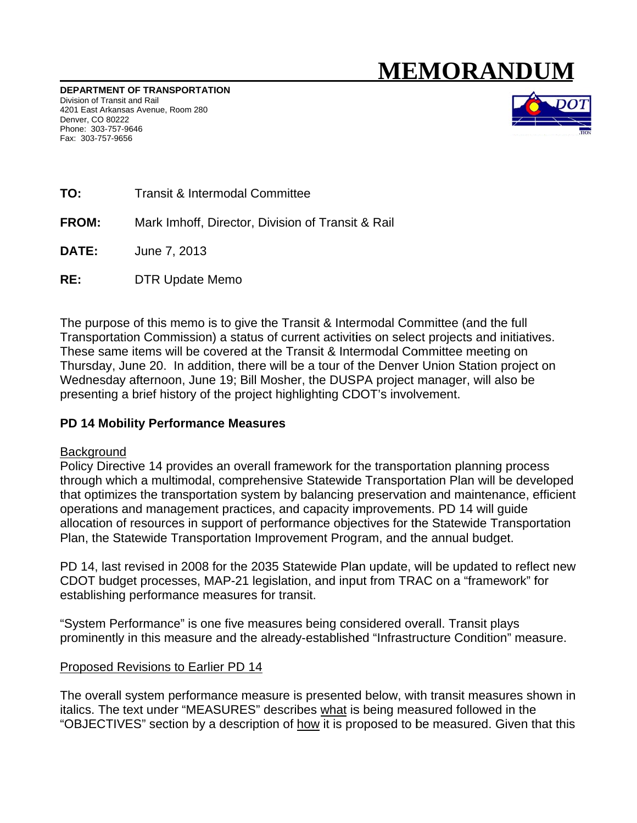# MEMORANDUM

DEPARTMENT OF TRANSPORTATION Division of Transit and Rail 4201 East Arkansas Avenue, Room 280 Denver, CO 80222 Phone: 303-757-9646 Fax: 303-757-9656



- TO: **Transit & Intermodal Committee**
- FROM: Mark Imhoff, Director, Division of Transit & Rail
- DATE: June 7, 2013
- $RE:$ **DTR Update Memo**

The purpose of this memo is to give the Transit & Intermodal Committee (and the full Transportation Commission) a status of current activities on select projects and initiatives. These same items will be covered at the Transit & Intermodal Committee meeting on Thursday, June 20. In addition, there will be a tour of the Denver Union Station project on Wednesday afternoon, June 19; Bill Mosher, the DUSPA project manager, will also be presenting a brief history of the project highlighting CDOT's involvement.

#### PD 14 Mobility Performance Measures

#### Background

Policy Directive 14 provides an overall framework for the transportation planning process through which a multimodal, comprehensive Statewide Transportation Plan will be developed that optimizes the transportation system by balancing preservation and maintenance, efficient operations and management practices, and capacity improvements. PD 14 will quide allocation of resources in support of performance objectives for the Statewide Transportation Plan, the Statewide Transportation Improvement Program, and the annual budget.

PD 14, last revised in 2008 for the 2035 Statewide Plan update, will be updated to reflect new CDOT budget processes, MAP-21 legislation, and input from TRAC on a "framework" for establishing performance measures for transit.

"System Performance" is one five measures being considered overall. Transit plays prominently in this measure and the already-established "Infrastructure Condition" measure.

#### Proposed Revisions to Earlier PD 14

The overall system performance measure is presented below, with transit measures shown in italics. The text under "MEASURES" describes what is being measured followed in the "OBJECTIVES" section by a description of how it is proposed to be measured. Given that this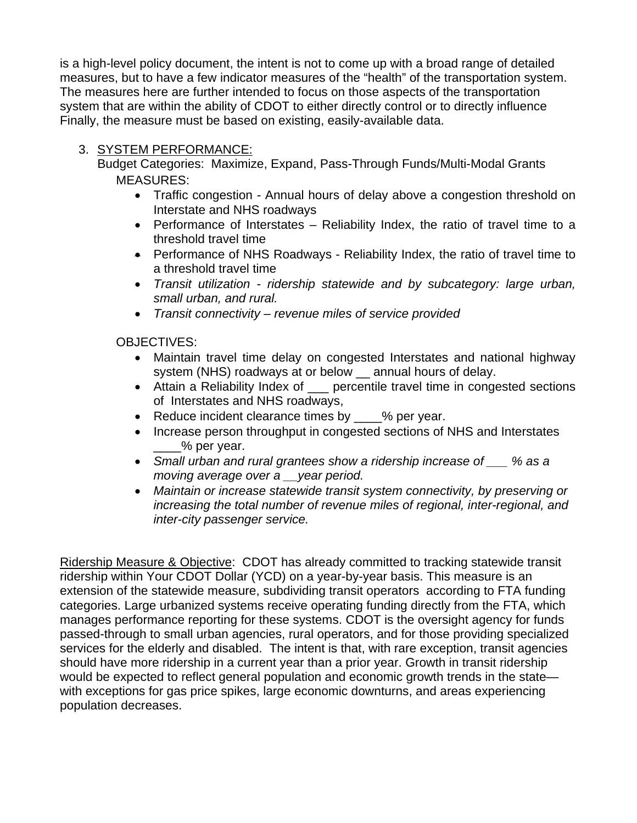is a high-level policy document, the intent is not to come up with a broad range of detailed measures, but to have a few indicator measures of the "health" of the transportation system. The measures here are further intended to focus on those aspects of the transportation system that are within the ability of CDOT to either directly control or to directly influence Finally, the measure must be based on existing, easily-available data.

## 3. SYSTEM PERFORMANCE:

Budget Categories: Maximize, Expand, Pass-Through Funds/Multi-Modal Grants MEASURES:

- Traffic congestion Annual hours of delay above a congestion threshold on Interstate and NHS roadways
- Performance of Interstates Reliability Index, the ratio of travel time to a threshold travel time
- Performance of NHS Roadways Reliability Index, the ratio of travel time to a threshold travel time
- *Transit utilization ridership statewide and by subcategory: large urban, small urban, and rural.*
- *Transit connectivity revenue miles of service provided*

OBJECTIVES:

- Maintain travel time delay on congested Interstates and national highway system (NHS) roadways at or below annual hours of delay.
- Attain a Reliability Index of \_\_\_ percentile travel time in congested sections of Interstates and NHS roadways,
- Reduce incident clearance times by \_\_\_\_% per year.
- Increase person throughput in congested sections of NHS and Interstates \_\_\_\_% per year.
- *Small urban and rural grantees show a ridership increase of \_\_\_ % as a moving average over a \_\_year period.*
- *Maintain or increase statewide transit system connectivity, by preserving or increasing the total number of revenue miles of regional, inter-regional, and inter-city passenger service.*

Ridership Measure & Objective: CDOT has already committed to tracking statewide transit ridership within Your CDOT Dollar (YCD) on a year-by-year basis. This measure is an extension of the statewide measure, subdividing transit operators according to FTA funding categories. Large urbanized systems receive operating funding directly from the FTA, which manages performance reporting for these systems. CDOT is the oversight agency for funds passed-through to small urban agencies, rural operators, and for those providing specialized services for the elderly and disabled. The intent is that, with rare exception, transit agencies should have more ridership in a current year than a prior year. Growth in transit ridership would be expected to reflect general population and economic growth trends in the state with exceptions for gas price spikes, large economic downturns, and areas experiencing population decreases.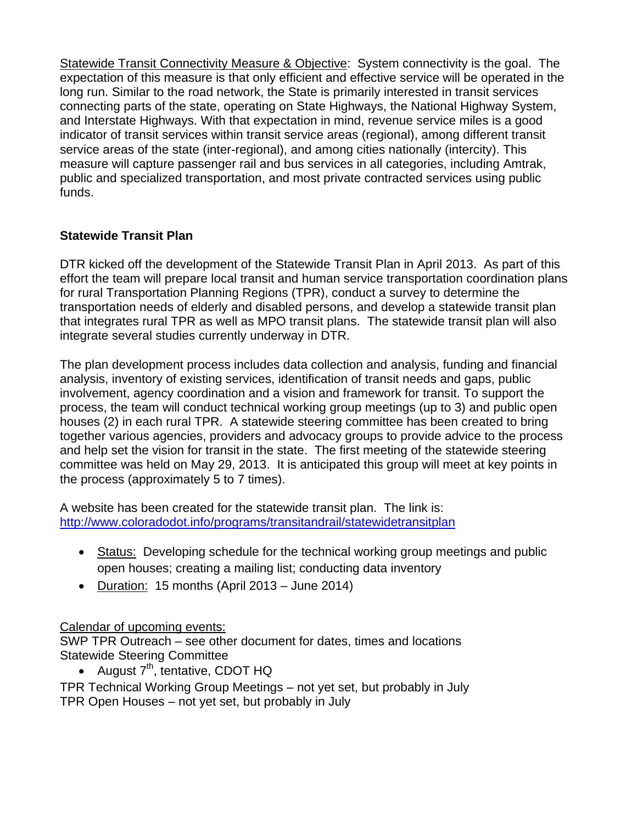Statewide Transit Connectivity Measure & Objective: System connectivity is the goal. The expectation of this measure is that only efficient and effective service will be operated in the long run. Similar to the road network, the State is primarily interested in transit services connecting parts of the state, operating on State Highways, the National Highway System, and Interstate Highways. With that expectation in mind, revenue service miles is a good indicator of transit services within transit service areas (regional), among different transit service areas of the state (inter-regional), and among cities nationally (intercity). This measure will capture passenger rail and bus services in all categories, including Amtrak, public and specialized transportation, and most private contracted services using public funds.

## **Statewide Transit Plan**

DTR kicked off the development of the Statewide Transit Plan in April 2013. As part of this effort the team will prepare local transit and human service transportation coordination plans for rural Transportation Planning Regions (TPR), conduct a survey to determine the transportation needs of elderly and disabled persons, and develop a statewide transit plan that integrates rural TPR as well as MPO transit plans. The statewide transit plan will also integrate several studies currently underway in DTR.

The plan development process includes data collection and analysis, funding and financial analysis, inventory of existing services, identification of transit needs and gaps, public involvement, agency coordination and a vision and framework for transit. To support the process, the team will conduct technical working group meetings (up to 3) and public open houses (2) in each rural TPR. A statewide steering committee has been created to bring together various agencies, providers and advocacy groups to provide advice to the process and help set the vision for transit in the state. The first meeting of the statewide steering committee was held on May 29, 2013. It is anticipated this group will meet at key points in the process (approximately 5 to 7 times).

A website has been created for the statewide transit plan. The link is: http://www.coloradodot.info/programs/transitandrail/statewidetransitplan

- Status: Developing schedule for the technical working group meetings and public open houses; creating a mailing list; conducting data inventory
- Duration: 15 months (April 2013 June 2014)

## Calendar of upcoming events:

SWP TPR Outreach – see other document for dates, times and locations Statewide Steering Committee

• August  $7<sup>th</sup>$ , tentative, CDOT HQ

TPR Technical Working Group Meetings – not yet set, but probably in July TPR Open Houses – not yet set, but probably in July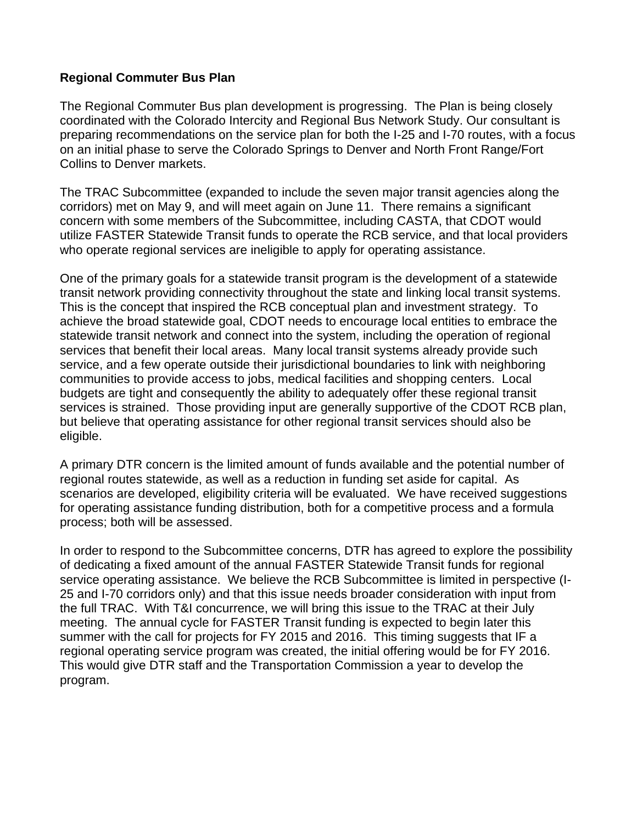### **Regional Commuter Bus Plan**

The Regional Commuter Bus plan development is progressing. The Plan is being closely coordinated with the Colorado Intercity and Regional Bus Network Study. Our consultant is preparing recommendations on the service plan for both the I-25 and I-70 routes, with a focus on an initial phase to serve the Colorado Springs to Denver and North Front Range/Fort Collins to Denver markets.

The TRAC Subcommittee (expanded to include the seven major transit agencies along the corridors) met on May 9, and will meet again on June 11. There remains a significant concern with some members of the Subcommittee, including CASTA, that CDOT would utilize FASTER Statewide Transit funds to operate the RCB service, and that local providers who operate regional services are ineligible to apply for operating assistance.

One of the primary goals for a statewide transit program is the development of a statewide transit network providing connectivity throughout the state and linking local transit systems. This is the concept that inspired the RCB conceptual plan and investment strategy. To achieve the broad statewide goal, CDOT needs to encourage local entities to embrace the statewide transit network and connect into the system, including the operation of regional services that benefit their local areas. Many local transit systems already provide such service, and a few operate outside their jurisdictional boundaries to link with neighboring communities to provide access to jobs, medical facilities and shopping centers. Local budgets are tight and consequently the ability to adequately offer these regional transit services is strained. Those providing input are generally supportive of the CDOT RCB plan, but believe that operating assistance for other regional transit services should also be eligible.

A primary DTR concern is the limited amount of funds available and the potential number of regional routes statewide, as well as a reduction in funding set aside for capital. As scenarios are developed, eligibility criteria will be evaluated. We have received suggestions for operating assistance funding distribution, both for a competitive process and a formula process; both will be assessed.

In order to respond to the Subcommittee concerns, DTR has agreed to explore the possibility of dedicating a fixed amount of the annual FASTER Statewide Transit funds for regional service operating assistance. We believe the RCB Subcommittee is limited in perspective (I-25 and I-70 corridors only) and that this issue needs broader consideration with input from the full TRAC. With T&I concurrence, we will bring this issue to the TRAC at their July meeting. The annual cycle for FASTER Transit funding is expected to begin later this summer with the call for projects for FY 2015 and 2016. This timing suggests that IF a regional operating service program was created, the initial offering would be for FY 2016. This would give DTR staff and the Transportation Commission a year to develop the program.